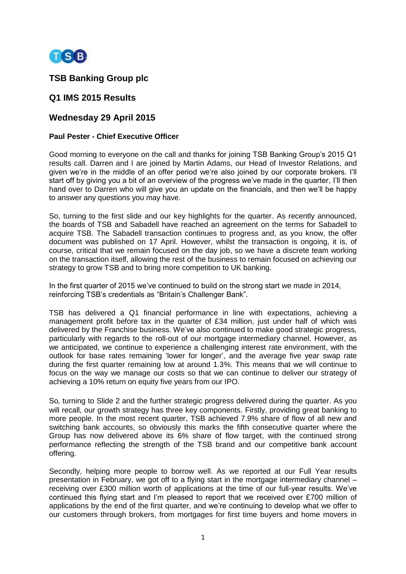

# **TSB Banking Group plc**

## **Q1 IMS 2015 Results**

## **Wednesday 29 April 2015**

### **Paul Pester - Chief Executive Officer**

Good morning to everyone on the call and thanks for joining TSB Banking Group's 2015 Q1 results call. Darren and I are joined by Martin Adams, our Head of Investor Relations, and given we're in the middle of an offer period we're also joined by our corporate brokers. I'll start off by giving you a bit of an overview of the progress we've made in the quarter, I'll then hand over to Darren who will give you an update on the financials, and then we'll be happy to answer any questions you may have.

So, turning to the first slide and our key highlights for the quarter. As recently announced, the boards of TSB and Sabadell have reached an agreement on the terms for Sabadell to acquire TSB. The Sabadell transaction continues to progress and, as you know, the offer document was published on 17 April. However, whilst the transaction is ongoing, it is, of course, critical that we remain focused on the day job, so we have a discrete team working on the transaction itself, allowing the rest of the business to remain focused on achieving our strategy to grow TSB and to bring more competition to UK banking.

In the first quarter of 2015 we've continued to build on the strong start we made in 2014, reinforcing TSB's credentials as "Britain's Challenger Bank".

TSB has delivered a Q1 financial performance in line with expectations, achieving a management profit before tax in the quarter of £34 million, just under half of which was delivered by the Franchise business. We've also continued to make good strategic progress, particularly with regards to the roll-out of our mortgage intermediary channel. However, as we anticipated, we continue to experience a challenging interest rate environment, with the outlook for base rates remaining 'lower for longer', and the average five year swap rate during the first quarter remaining low at around 1.3%. This means that we will continue to focus on the way we manage our costs so that we can continue to deliver our strategy of achieving a 10% return on equity five years from our IPO.

So, turning to Slide 2 and the further strategic progress delivered during the quarter. As you will recall, our growth strategy has three key components. Firstly, providing great banking to more people. In the most recent quarter, TSB achieved 7.9% share of flow of all new and switching bank accounts, so obviously this marks the fifth consecutive quarter where the Group has now delivered above its 6% share of flow target, with the continued strong performance reflecting the strength of the TSB brand and our competitive bank account offering.

Secondly, helping more people to borrow well. As we reported at our Full Year results presentation in February, we got off to a flying start in the mortgage intermediary channel – receiving over £300 million worth of applications at the time of our full-year results. We've continued this flying start and I'm pleased to report that we received over £700 million of applications by the end of the first quarter, and we're continuing to develop what we offer to our customers through brokers, from mortgages for first time buyers and home movers in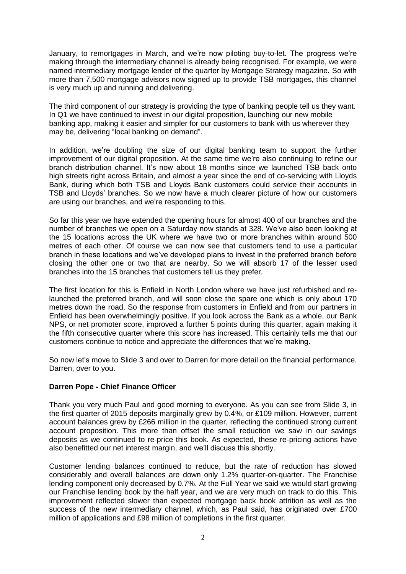January, to remortgages in March, and we're now piloting buy-to-let. The progress we're making through the intermediary channel is already being recognised. For example, we were named intermediary mortgage lender of the quarter by Mortgage Strategy magazine. So with more than 7,500 mortgage advisors now signed up to provide TSB mortgages, this channel is very much up and running and delivering.

The third component of our strategy is providing the type of banking people tell us they want. In Q1 we have continued to invest in our digital proposition, launching our new mobile banking app, making it easier and simpler for our customers to bank with us wherever they may be, delivering "local banking on demand".

In addition, we're doubling the size of our digital banking team to support the further improvement of our digital proposition. At the same time we're also continuing to refine our branch distribution channel. It's now about 18 months since we launched TSB back onto high streets right across Britain, and almost a year since the end of co-servicing with Lloyds Bank, during which both TSB and Lloyds Bank customers could service their accounts in TSB and Lloyds' branches. So we now have a much clearer picture of how our customers are using our branches, and we're responding to this.

So far this year we have extended the opening hours for almost 400 of our branches and the number of branches we open on a Saturday now stands at 328. We've also been looking at the 15 locations across the UK where we have two or more branches within around 500 metres of each other. Of course we can now see that customers tend to use a particular branch in these locations and we've developed plans to invest in the preferred branch before closing the other one or two that are nearby. So we will absorb 17 of the lesser used branches into the 15 branches that customers tell us they prefer.

The first location for this is Enfield in North London where we have just refurbished and relaunched the preferred branch, and will soon close the spare one which is only about 170 metres down the road. So the response from customers in Enfield and from our partners in Enfield has been overwhelmingly positive. If you look across the Bank as a whole, our Bank NPS, or net promoter score, improved a further 5 points during this quarter, again making it the fifth consecutive quarter where this score has increased. This certainly tells me that our customers continue to notice and appreciate the differences that we're making.

So now let's move to Slide 3 and over to Darren for more detail on the financial performance. Darren, over to you.

### **Darren Pope - Chief Finance Officer**

Thank you very much Paul and good morning to everyone. As you can see from Slide 3, in the first quarter of 2015 deposits marginally grew by 0.4%, or £109 million. However, current account balances grew by £266 million in the quarter, reflecting the continued strong current account proposition. This more than offset the small reduction we saw in our savings deposits as we continued to re-price this book. As expected, these re-pricing actions have also benefitted our net interest margin, and we'll discuss this shortly.

Customer lending balances continued to reduce, but the rate of reduction has slowed considerably and overall balances are down only 1.2% quarter-on-quarter. The Franchise lending component only decreased by 0.7%. At the Full Year we said we would start growing our Franchise lending book by the half year, and we are very much on track to do this. This improvement reflected slower than expected mortgage back book attrition as well as the success of the new intermediary channel, which, as Paul said, has originated over £700 million of applications and £98 million of completions in the first quarter.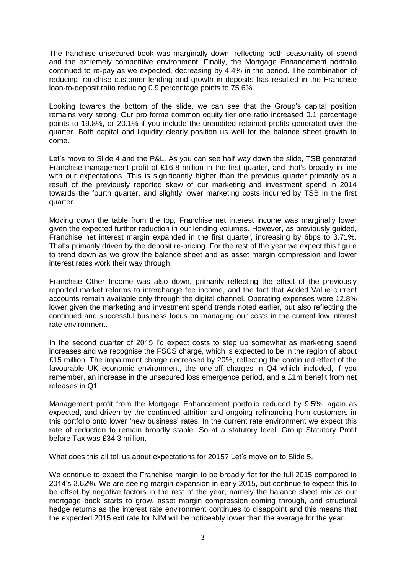The franchise unsecured book was marginally down, reflecting both seasonality of spend and the extremely competitive environment. Finally, the Mortgage Enhancement portfolio continued to re-pay as we expected, decreasing by 4.4% in the period. The combination of reducing franchise customer lending and growth in deposits has resulted in the Franchise loan-to-deposit ratio reducing 0.9 percentage points to 75.6%.

Looking towards the bottom of the slide, we can see that the Group's capital position remains very strong. Our pro forma common equity tier one ratio increased 0.1 percentage points to 19.8%, or 20.1% if you include the unaudited retained profits generated over the quarter. Both capital and liquidity clearly position us well for the balance sheet growth to come.

Let's move to Slide 4 and the P&L. As you can see half way down the slide, TSB generated Franchise management profit of £16.8 million in the first quarter, and that's broadly in line with our expectations. This is significantly higher than the previous quarter primarily as a result of the previously reported skew of our marketing and investment spend in 2014 towards the fourth quarter, and slightly lower marketing costs incurred by TSB in the first quarter.

Moving down the table from the top, Franchise net interest income was marginally lower given the expected further reduction in our lending volumes. However, as previously guided, Franchise net interest margin expanded in the first quarter, increasing by 6bps to 3.71%. That's primarily driven by the deposit re-pricing. For the rest of the year we expect this figure to trend down as we grow the balance sheet and as asset margin compression and lower interest rates work their way through.

Franchise Other Income was also down, primarily reflecting the effect of the previously reported market reforms to interchange fee income, and the fact that Added Value current accounts remain available only through the digital channel. Operating expenses were 12.8% lower given the marketing and investment spend trends noted earlier, but also reflecting the continued and successful business focus on managing our costs in the current low interest rate environment.

In the second quarter of 2015 I'd expect costs to step up somewhat as marketing spend increases and we recognise the FSCS charge, which is expected to be in the region of about £15 million. The impairment charge decreased by 20%, reflecting the continued effect of the favourable UK economic environment, the one-off charges in Q4 which included, if you remember, an increase in the unsecured loss emergence period, and a £1m benefit from net releases in Q1.

Management profit from the Mortgage Enhancement portfolio reduced by 9.5%, again as expected, and driven by the continued attrition and ongoing refinancing from customers in this portfolio onto lower 'new business' rates. In the current rate environment we expect this rate of reduction to remain broadly stable. So at a statutory level, Group Statutory Profit before Tax was £34.3 million.

What does this all tell us about expectations for 2015? Let's move on to Slide 5.

We continue to expect the Franchise margin to be broadly flat for the full 2015 compared to 2014's 3.62%. We are seeing margin expansion in early 2015, but continue to expect this to be offset by negative factors in the rest of the year, namely the balance sheet mix as our mortgage book starts to grow, asset margin compression coming through, and structural hedge returns as the interest rate environment continues to disappoint and this means that the expected 2015 exit rate for NIM will be noticeably lower than the average for the year.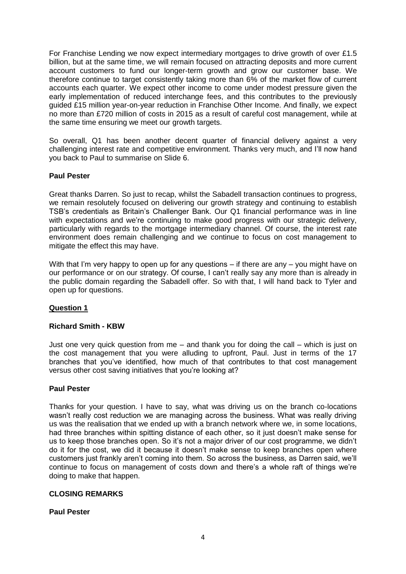For Franchise Lending we now expect intermediary mortgages to drive growth of over £1.5 billion, but at the same time, we will remain focused on attracting deposits and more current account customers to fund our longer-term growth and grow our customer base. We therefore continue to target consistently taking more than 6% of the market flow of current accounts each quarter. We expect other income to come under modest pressure given the early implementation of reduced interchange fees, and this contributes to the previously guided £15 million year-on-year reduction in Franchise Other Income. And finally, we expect no more than £720 million of costs in 2015 as a result of careful cost management, while at the same time ensuring we meet our growth targets.

So overall, Q1 has been another decent quarter of financial delivery against a very challenging interest rate and competitive environment. Thanks very much, and I'll now hand you back to Paul to summarise on Slide 6.

## **Paul Pester**

Great thanks Darren. So just to recap, whilst the Sabadell transaction continues to progress, we remain resolutely focused on delivering our growth strategy and continuing to establish TSB's credentials as Britain's Challenger Bank. Our Q1 financial performance was in line with expectations and we're continuing to make good progress with our strategic delivery, particularly with regards to the mortgage intermediary channel. Of course, the interest rate environment does remain challenging and we continue to focus on cost management to mitigate the effect this may have.

With that I'm very happy to open up for any questions – if there are any – you might have on our performance or on our strategy. Of course, I can't really say any more than is already in the public domain regarding the Sabadell offer. So with that, I will hand back to Tyler and open up for questions.

### **Question 1**

### **Richard Smith - KBW**

Just one very quick question from me – and thank you for doing the call – which is just on the cost management that you were alluding to upfront, Paul. Just in terms of the 17 branches that you've identified, how much of that contributes to that cost management versus other cost saving initiatives that you're looking at?

#### **Paul Pester**

Thanks for your question. I have to say, what was driving us on the branch co-locations wasn't really cost reduction we are managing across the business. What was really driving us was the realisation that we ended up with a branch network where we, in some locations, had three branches within spitting distance of each other, so it just doesn't make sense for us to keep those branches open. So it's not a major driver of our cost programme, we didn't do it for the cost, we did it because it doesn't make sense to keep branches open where customers just frankly aren't coming into them. So across the business, as Darren said, we'll continue to focus on management of costs down and there's a whole raft of things we're doing to make that happen.

#### **CLOSING REMARKS**

#### **Paul Pester**